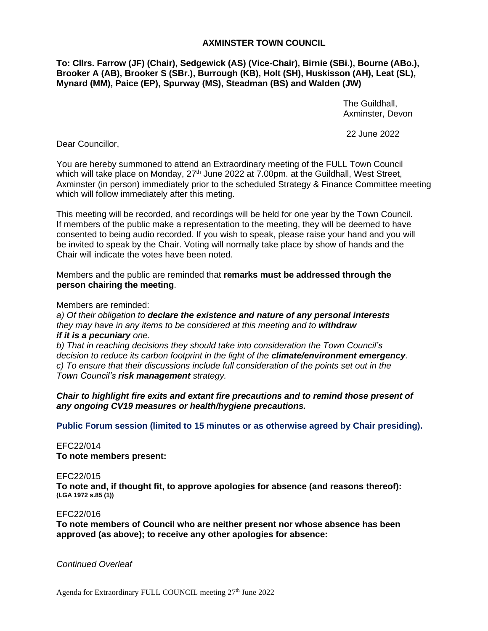# **AXMINSTER TOWN COUNCIL**

**To: Cllrs. Farrow (JF) (Chair), Sedgewick (AS) (Vice-Chair), Birnie (SBi.), Bourne (ABo.), Brooker A (AB), Brooker S (SBr.), Burrough (KB), Holt (SH), Huskisson (AH), Leat (SL), Mynard (MM), Paice (EP), Spurway (MS), Steadman (BS) and Walden (JW)**

> The Guildhall, Axminster, Devon

22 June 2022

Dear Councillor,

You are hereby summoned to attend an Extraordinary meeting of the FULL Town Council which will take place on Monday, 27<sup>th</sup> June 2022 at 7.00pm. at the Guildhall, West Street, Axminster (in person) immediately prior to the scheduled Strategy & Finance Committee meeting which will follow immediately after this meting.

This meeting will be recorded, and recordings will be held for one year by the Town Council. If members of the public make a representation to the meeting, they will be deemed to have consented to being audio recorded. If you wish to speak, please raise your hand and you will be invited to speak by the Chair. Voting will normally take place by show of hands and the Chair will indicate the votes have been noted.

Members and the public are reminded that **remarks must be addressed through the person chairing the meeting**.

Members are reminded:

*a) Of their obligation to declare the existence and nature of any personal interests they may have in any items to be considered at this meeting and to withdraw if it is a pecuniary one.* 

*b) That in reaching decisions they should take into consideration the Town Council's decision to reduce its carbon footprint in the light of the climate/environment emergency. c) To ensure that their discussions include full consideration of the points set out in the Town Council's risk management strategy.*

*Chair to highlight fire exits and extant fire precautions and to remind those present of any ongoing CV19 measures or health/hygiene precautions.*

**Public Forum session (limited to 15 minutes or as otherwise agreed by Chair presiding).**

EFC22/014 **To note members present:**

# EFC22/015

**To note and, if thought fit, to approve apologies for absence (and reasons thereof): (LGA 1972 s.85 (1))**

# EFC22/016

**To note members of Council who are neither present nor whose absence has been approved (as above); to receive any other apologies for absence:**

*Continued Overleaf*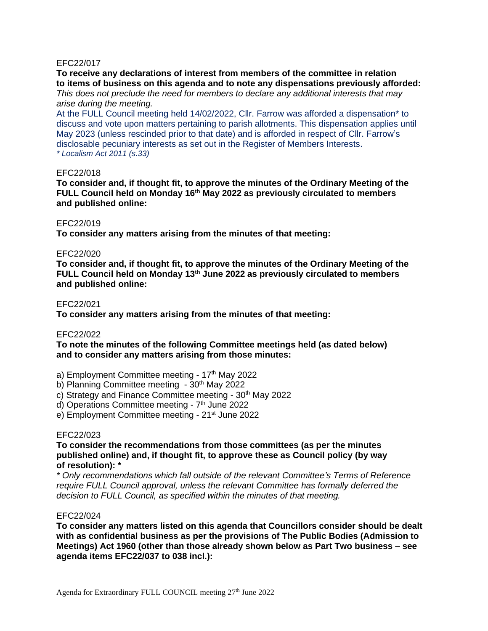# EFC22/017

**To receive any declarations of interest from members of the committee in relation to items of business on this agenda and to note any dispensations previously afforded:** *This does not preclude the need for members to declare any additional interests that may* 

#### *arise during the meeting.*

At the FULL Council meeting held 14/02/2022, Cllr. Farrow was afforded a dispensation\* to discuss and vote upon matters pertaining to parish allotments. This dispensation applies until May 2023 (unless rescinded prior to that date) and is afforded in respect of Cllr. Farrow's disclosable pecuniary interests as set out in the Register of Members Interests. *\* Localism Act 2011 (s.33)*

#### EFC22/018

**To consider and, if thought fit, to approve the minutes of the Ordinary Meeting of the FULL Council held on Monday 16th May 2022 as previously circulated to members and published online:**

# EFC22/019

**To consider any matters arising from the minutes of that meeting:**

#### EFC22/020

**To consider and, if thought fit, to approve the minutes of the Ordinary Meeting of the FULL Council held on Monday 13 th June 2022 as previously circulated to members and published online:**

#### EFC22/021

**To consider any matters arising from the minutes of that meeting:**

#### EFC22/022

**To note the minutes of the following Committee meetings held (as dated below) and to consider any matters arising from those minutes:**

a) Employment Committee meeting - 17<sup>th</sup> May 2022

- b) Planning Committee meeting 30<sup>th</sup> May 2022
- c) Strategy and Finance Committee meeting 30<sup>th</sup> May 2022

d) Operations Committee meeting - 7<sup>th</sup> June 2022

e) Employment Committee meeting - 21<sup>st</sup> June 2022

# EFC22/023

# **To consider the recommendations from those committees (as per the minutes published online) and, if thought fit, to approve these as Council policy (by way of resolution): \***

*\* Only recommendations which fall outside of the relevant Committee's Terms of Reference require FULL Council approval, unless the relevant Committee has formally deferred the decision to FULL Council, as specified within the minutes of that meeting.*

#### EFC22/024

**To consider any matters listed on this agenda that Councillors consider should be dealt with as confidential business as per the provisions of The Public Bodies (Admission to Meetings) Act 1960 (other than those already shown below as Part Two business – see agenda items EFC22/037 to 038 incl.):**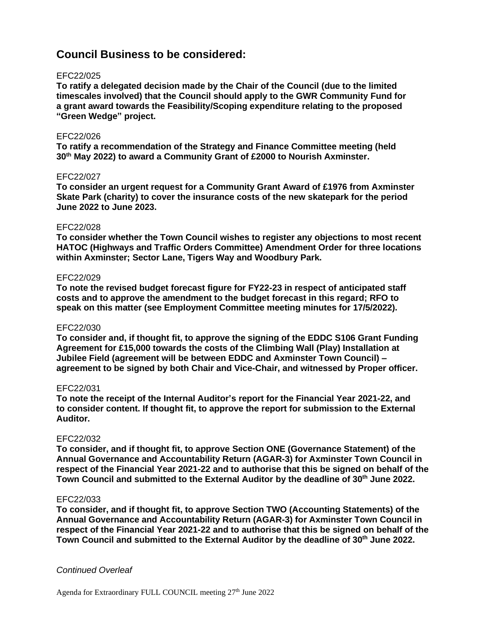# **Council Business to be considered:**

# EFC22/025

**To ratify a delegated decision made by the Chair of the Council (due to the limited timescales involved) that the Council should apply to the GWR Community Fund for a grant award towards the Feasibility/Scoping expenditure relating to the proposed "Green Wedge" project.**

#### EFC22/026

**To ratify a recommendation of the Strategy and Finance Committee meeting (held 30th May 2022) to award a Community Grant of £2000 to Nourish Axminster.**

# EFC22/027

**To consider an urgent request for a Community Grant Award of £1976 from Axminster Skate Park (charity) to cover the insurance costs of the new skatepark for the period June 2022 to June 2023.**

#### EFC22/028

**To consider whether the Town Council wishes to register any objections to most recent HATOC (Highways and Traffic Orders Committee) Amendment Order for three locations within Axminster; Sector Lane, Tigers Way and Woodbury Park.** 

# EFC22/029

**To note the revised budget forecast figure for FY22-23 in respect of anticipated staff costs and to approve the amendment to the budget forecast in this regard; RFO to speak on this matter (see Employment Committee meeting minutes for 17/5/2022).**

#### EFC22/030

**To consider and, if thought fit, to approve the signing of the EDDC S106 Grant Funding Agreement for £15,000 towards the costs of the Climbing Wall (Play) Installation at Jubilee Field (agreement will be between EDDC and Axminster Town Council) – agreement to be signed by both Chair and Vice-Chair, and witnessed by Proper officer.**

#### EFC22/031

**To note the receipt of the Internal Auditor's report for the Financial Year 2021-22, and to consider content. If thought fit, to approve the report for submission to the External Auditor.**

# EFC22/032

**To consider, and if thought fit, to approve Section ONE (Governance Statement) of the Annual Governance and Accountability Return (AGAR-3) for Axminster Town Council in respect of the Financial Year 2021-22 and to authorise that this be signed on behalf of the Town Council and submitted to the External Auditor by the deadline of 30th June 2022.**

# EFC22/033

**To consider, and if thought fit, to approve Section TWO (Accounting Statements) of the Annual Governance and Accountability Return (AGAR-3) for Axminster Town Council in respect of the Financial Year 2021-22 and to authorise that this be signed on behalf of the Town Council and submitted to the External Auditor by the deadline of 30th June 2022.**

# *Continued Overleaf*